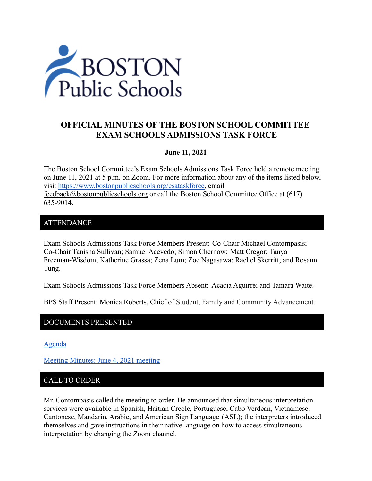

# **OFFICIAL MINUTES OF THE BOSTON SCHOOL COMMITTEE EXAM SCHOOLS ADMISSIONS TASK FORCE**

## **June 11, 2021**

The Boston School Committee's Exam Schools Admissions Task Force held a remote meeting on June 11, 2021 at 5 p.m. on Zoom. For more information about any of the items listed below, visit [https://www.bostonpublicschools.org/esataskforce,](https://www.bostonpublicschools.org/esataskforce) email [feedback@bostonpublicschools.org](mailto:feedback@bostonpublicschools.org) or call the Boston School Committee Office at (617) 635-9014.

## ATTENDANCE

Exam Schools Admissions Task Force Members Present: Co-Chair Michael Contompasis; Co-Chair Tanisha Sullivan; Samuel Acevedo; Simon Chernow; Matt Cregor; Tanya Freeman-Wisdom; Katherine Grassa; Zena Lum; Zoe Nagasawa; Rachel Skerritt; and Rosann Tung.

Exam Schools Admissions Task Force Members Absent: Acacia Aguirre; and Tamara Waite.

BPS Staff Present: Monica Roberts, Chief of Student, Family and Community Advancement.

## DOCUMENTS PRESENTED

[Agenda](https://www.boston.gov/public-notices/15754846)

[Meeting Minutes: June 4, 2021 meeting](https://www.bostonpublicschools.org/cms/lib/MA01906464/Centricity/Domain/2931/Minutes%206%204%2021%20Exam%20School%20Admission%20TF%20Meeting.docx.pdf)

# CALL TO ORDER

Mr. Contompasis called the meeting to order. He announced that simultaneous interpretation services were available in Spanish, Haitian Creole, Portuguese, Cabo Verdean, Vietnamese, Cantonese, Mandarin, Arabic, and American Sign Language (ASL); the interpreters introduced themselves and gave instructions in their native language on how to access simultaneous interpretation by changing the Zoom channel.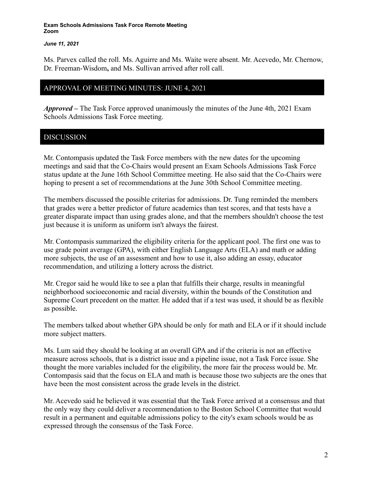### *June 11, 2021*

Ms. Parvex called the roll. Ms. Aguirre and Ms. Waite were absent. Mr. Acevedo, Mr. Chernow, Dr. Freeman-Wisdom**,** and Ms. Sullivan arrived after roll call.

## APPROVAL OF MEETING MINUTES: JUNE 4, 2021

*Approved –* The Task Force approved unanimously the minutes of the June 4th, 2021 Exam Schools Admissions Task Force meeting.

# DISCUSSION

Mr. Contompasis updated the Task Force members with the new dates for the upcoming meetings and said that the Co-Chairs would present an Exam Schools Admissions Task Force status update at the June 16th School Committee meeting. He also said that the Co-Chairs were hoping to present a set of recommendations at the June 30th School Committee meeting.

The members discussed the possible criterias for admissions. Dr. Tung reminded the members that grades were a better predictor of future academics than test scores, and that tests have a greater disparate impact than using grades alone, and that the members shouldn't choose the test just because it is uniform as uniform isn't always the fairest.

Mr. Contompasis summarized the eligibility criteria for the applicant pool. The first one was to use grade point average (GPA), with either English Language Arts (ELA) and math or adding more subjects, the use of an assessment and how to use it, also adding an essay, educator recommendation, and utilizing a lottery across the district.

Mr. Cregor said he would like to see a plan that fulfills their charge, results in meaningful neighborhood socioeconomic and racial diversity, within the bounds of the Constitution and Supreme Court precedent on the matter. He added that if a test was used, it should be as flexible as possible.

The members talked about whether GPA should be only for math and ELA or if it should include more subject matters.

Ms. Lum said they should be looking at an overall GPA and if the criteria is not an effective measure across schools, that is a district issue and a pipeline issue, not a Task Force issue. She thought the more variables included for the eligibility, the more fair the process would be. Mr. Contompasis said that the focus on ELA and math is because those two subjects are the ones that have been the most consistent across the grade levels in the district.

Mr. Acevedo said he believed it was essential that the Task Force arrived at a consensus and that the only way they could deliver a recommendation to the Boston School Committee that would result in a permanent and equitable admissions policy to the city's exam schools would be as expressed through the consensus of the Task Force.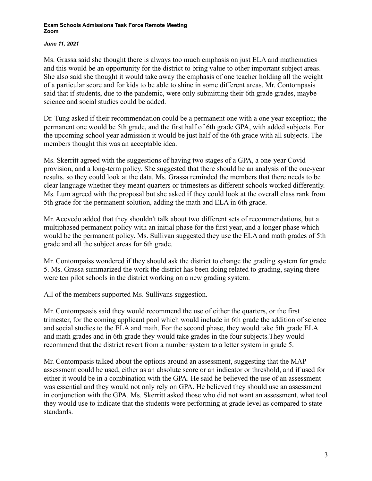### *June 11, 2021*

Ms. Grassa said she thought there is always too much emphasis on just ELA and mathematics and this would be an opportunity for the district to bring value to other important subject areas. She also said she thought it would take away the emphasis of one teacher holding all the weight of a particular score and for kids to be able to shine in some different areas. Mr. Contompasis said that if students, due to the pandemic, were only submitting their 6th grade grades, maybe science and social studies could be added.

Dr. Tung asked if their recommendation could be a permanent one with a one year exception; the permanent one would be 5th grade, and the first half of 6th grade GPA, with added subjects. For the upcoming school year admission it would be just half of the 6th grade with all subjects. The members thought this was an acceptable idea.

Ms. Skerritt agreed with the suggestions of having two stages of a GPA, a one-year Covid provision, and a long-term policy. She suggested that there should be an analysis of the one-year results. so they could look at the data. Ms. Grassa reminded the members that there needs to be clear language whether they meant quarters or trimesters as different schools worked differently. Ms. Lum agreed with the proposal but she asked if they could look at the overall class rank from 5th grade for the permanent solution, adding the math and ELA in 6th grade.

Mr. Acevedo added that they shouldn't talk about two different sets of recommendations, but a multiphased permanent policy with an initial phase for the first year, and a longer phase which would be the permanent policy. Ms. Sullivan suggested they use the ELA and math grades of 5th grade and all the subject areas for 6th grade.

Mr. Contompaiss wondered if they should ask the district to change the grading system for grade 5. Ms. Grassa summarized the work the district has been doing related to grading, saying there were ten pilot schools in the district working on a new grading system.

All of the members supported Ms. Sullivans suggestion.

Mr. Contompsasis said they would recommend the use of either the quarters, or the first trimester, for the coming applicant pool which would include in 6th grade the addition of science and social studies to the ELA and math. For the second phase, they would take 5th grade ELA and math grades and in 6th grade they would take grades in the four subjects.They would recommend that the district revert from a number system to a letter system in grade 5.

Mr. Contompasis talked about the options around an assessment, suggesting that the MAP assessment could be used, either as an absolute score or an indicator or threshold, and if used for either it would be in a combination with the GPA. He said he believed the use of an assessment was essential and they would not only rely on GPA. He believed they should use an assessment in conjunction with the GPA. Ms. Skerritt asked those who did not want an assessment, what tool they would use to indicate that the students were performing at grade level as compared to state standards.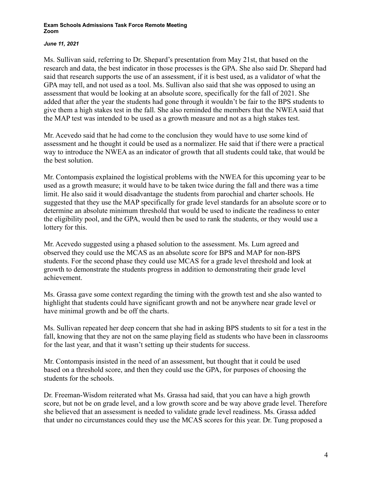### *June 11, 2021*

Ms. Sullivan said, referring to Dr. Shepard's presentation from May 21st, that based on the research and data, the best indicator in those processes is the GPA. She also said Dr. Shepard had said that research supports the use of an assessment, if it is best used, as a validator of what the GPA may tell, and not used as a tool. Ms. Sullivan also said that she was opposed to using an assessment that would be looking at an absolute score, specifically for the fall of 2021. She added that after the year the students had gone through it wouldn't be fair to the BPS students to give them a high stakes test in the fall. She also reminded the members that the NWEA said that the MAP test was intended to be used as a growth measure and not as a high stakes test.

Mr. Acevedo said that he had come to the conclusion they would have to use some kind of assessment and he thought it could be used as a normalizer. He said that if there were a practical way to introduce the NWEA as an indicator of growth that all students could take, that would be the best solution.

Mr. Contompasis explained the logistical problems with the NWEA for this upcoming year to be used as a growth measure; it would have to be taken twice during the fall and there was a time limit. He also said it would disadvantage the students from parochial and charter schools. He suggested that they use the MAP specifically for grade level standards for an absolute score or to determine an absolute minimum threshold that would be used to indicate the readiness to enter the eligibility pool, and the GPA, would then be used to rank the students, or they would use a lottery for this.

Mr. Acevedo suggested using a phased solution to the assessment. Ms. Lum agreed and observed they could use the MCAS as an absolute score for BPS and MAP for non-BPS students. For the second phase they could use MCAS for a grade level threshold and look at growth to demonstrate the students progress in addition to demonstrating their grade level achievement.

Ms. Grassa gave some context regarding the timing with the growth test and she also wanted to highlight that students could have significant growth and not be anywhere near grade level or have minimal growth and be off the charts.

Ms. Sullivan repeated her deep concern that she had in asking BPS students to sit for a test in the fall, knowing that they are not on the same playing field as students who have been in classrooms for the last year, and that it wasn't setting up their students for success.

Mr. Contompasis insisted in the need of an assessment, but thought that it could be used based on a threshold score, and then they could use the GPA, for purposes of choosing the students for the schools.

Dr. Freeman-Wisdom reiterated what Ms. Grassa had said, that you can have a high growth score, but not be on grade level, and a low growth score and be way above grade level. Therefore she believed that an assessment is needed to validate grade level readiness. Ms. Grassa added that under no circumstances could they use the MCAS scores for this year. Dr. Tung proposed a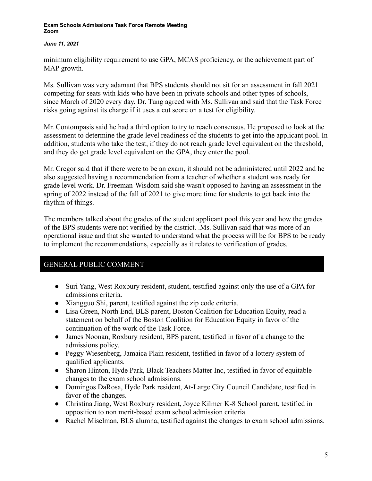## *June 11, 2021*

minimum eligibility requirement to use GPA, MCAS proficiency, or the achievement part of MAP growth.

Ms. Sullivan was very adamant that BPS students should not sit for an assessment in fall 2021 competing for seats with kids who have been in private schools and other types of schools, since March of 2020 every day. Dr. Tung agreed with Ms. Sullivan and said that the Task Force risks going against its charge if it uses a cut score on a test for eligibility.

Mr. Contompasis said he had a third option to try to reach consensus. He proposed to look at the assessment to determine the grade level readiness of the students to get into the applicant pool. In addition, students who take the test, if they do not reach grade level equivalent on the threshold, and they do get grade level equivalent on the GPA, they enter the pool.

Mr. Cregor said that if there were to be an exam, it should not be administered until 2022 and he also suggested having a recommendation from a teacher of whether a student was ready for grade level work. Dr. Freeman-Wisdom said she wasn't opposed to having an assessment in the spring of 2022 instead of the fall of 2021 to give more time for students to get back into the rhythm of things.

The members talked about the grades of the student applicant pool this year and how the grades of the BPS students were not verified by the district. .Ms. Sullivan said that was more of an operational issue and that she wanted to understand what the process will be for BPS to be ready to implement the recommendations, especially as it relates to verification of grades.

# GENERAL PUBLIC COMMENT

- Suri Yang, West Roxbury resident, student, testified against only the use of a GPA for admissions criteria.
- Xiangguo Shi, parent, testified against the zip code criteria.
- Lisa Green, North End, BLS parent, Boston Coalition for Education Equity, read a statement on behalf of the Boston Coalition for Education Equity in favor of the continuation of the work of the Task Force.
- James Noonan, Roxbury resident, BPS parent, testified in favor of a change to the admissions policy.
- Peggy Wiesenberg, Jamaica Plain resident, testified in favor of a lottery system of qualified applicants.
- Sharon Hinton, Hyde Park, Black Teachers Matter Inc, testified in favor of equitable changes to the exam school admissions.
- Domingos DaRosa, Hyde Park resident, At-Large City Council Candidate, testified in favor of the changes.
- Christina Jiang, West Roxbury resident, Joyce Kilmer K-8 School parent, testified in opposition to non merit-based exam school admission criteria.
- Rachel Miselman, BLS alumna, testified against the changes to exam school admissions.